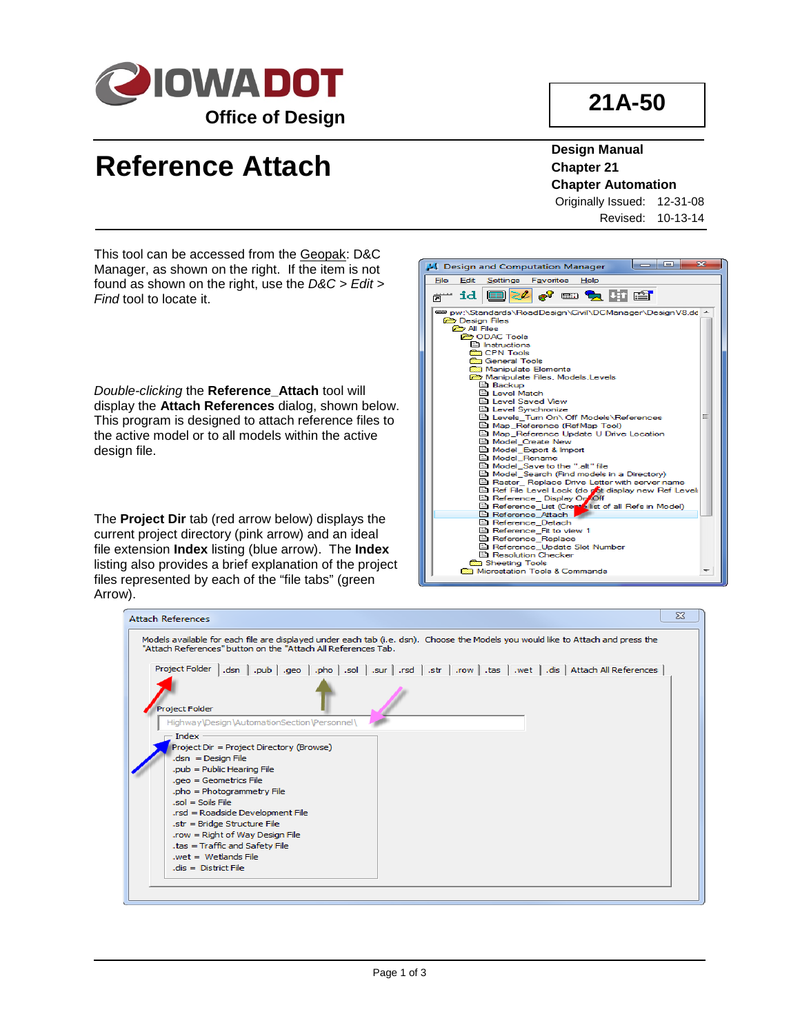

## **21A-50**

## **Reference Attach**

**Design Manual Chapter 21 Chapter Automation**

Originally Issued: 12-31-08 Revised: 10-13-14

This tool can be accessed from the Geopak: D&C Manager, as shown on the right. If the item is not found as shown on the right, use the *D&C > Edit > Find* tool to locate it.

*Double-clicking* the **Reference\_Attach** tool will display the **Attach References** dialog, shown below. This program is designed to attach reference files to the active model or to all models within the active design file.

The **Project Dir** tab (red arrow below) displays the current project directory (pink arrow) and an ideal file extension **Index** listing (blue arrow). The **Index**  listing also provides a brief explanation of the project files represented by each of the "file tabs" (green Arrow).



| <b>Attach References</b>                                                                                                                                                                          | $\Sigma$ |
|---------------------------------------------------------------------------------------------------------------------------------------------------------------------------------------------------|----------|
| Models available for each file are displayed under each tab (i.e. dsn). Choose the Models you would like to Attach and press the<br>"Attach References" button on the "Attach All References Tab. |          |
| Project Folder   .dsn   .pub   .geo   .pho   .sol   .sur   .rsd   .str   .row   .tas   .wet   .dis   Attach All References                                                                        |          |
| <b>Project Folder</b><br>Highway\Design\AutomationSection\Personnel\                                                                                                                              |          |
| - Index<br>Project Dir = Project Directory (Browse)<br>$dsn = Design File$                                                                                                                        |          |
| .pub = Public Hearing File<br>.geo = Geometrics File<br>.pho = Photogrammetry File                                                                                                                |          |
| $sol = Sols$ File<br>.rsd = Roadside Development File<br>.str = Bridge Structure File                                                                                                             |          |
| .row = Right of Way Design File<br>.tas = Traffic and Safety File<br>$wet = Wettands File$<br>$dis = District File$                                                                               |          |
|                                                                                                                                                                                                   |          |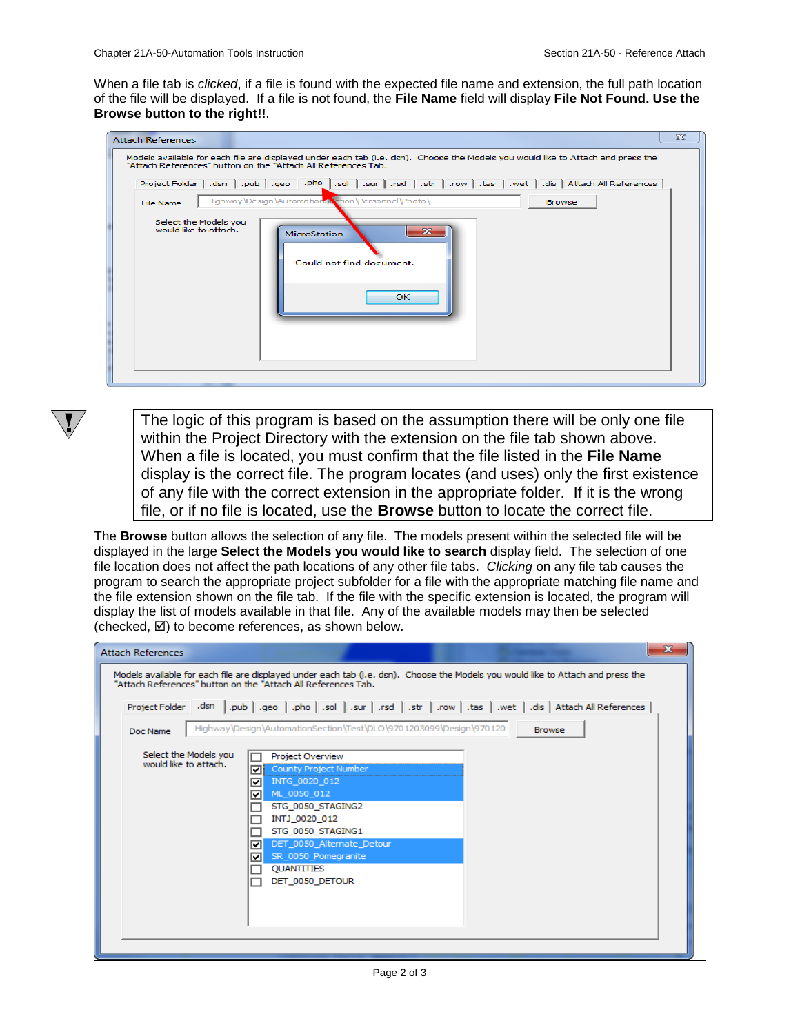When a file tab is *clicked*, if a file is found with the expected file name and extension, the full path location of the file will be displayed. If a file is not found, the **File Name** field will display **File Not Found. Use the Browse button to the right!!**.

| <b>Attach References</b>                                                                                                                                                                          | $\Sigma$ |
|---------------------------------------------------------------------------------------------------------------------------------------------------------------------------------------------------|----------|
| Models available for each file are displayed under each tab (i.e. dsn). Choose the Models you would like to Attach and press the<br>"Attach References" button on the "Attach All References Tab. |          |
|                                                                                                                                                                                                   |          |
| Highway\Design\AutomationStration\Personnel\Photo\<br><b>Browse</b><br>File Name                                                                                                                  |          |
| Select the Models you<br>would like to attach.<br>$\overline{\mathbf{z}}$<br><b>MicroStation</b><br>Could not find document.<br>OK.                                                               |          |
|                                                                                                                                                                                                   |          |

The logic of this program is based on the assumption there will be only one file within the Project Directory with the extension on the file tab shown above. When a file is located, you must confirm that the file listed in the **File Name**  display is the correct file. The program locates (and uses) only the first existence of any file with the correct extension in the appropriate folder. If it is the wrong file, or if no file is located, use the **Browse** button to locate the correct file.

The **Browse** button allows the selection of any file. The models present within the selected file will be displayed in the large **Select the Models you would like to search** display field. The selection of one file location does not affect the path locations of any other file tabs. *Clicking* on any file tab causes the program to search the appropriate project subfolder for a file with the appropriate matching file name and the file extension shown on the file tab. If the file with the specific extension is located, the program will display the list of models available in that file. Any of the available models may then be selected (checked,  $\boxtimes$ ) to become references, as shown below.

| Models available for each file are displayed under each tab (i.e. dsn). Choose the Models you would like to Attach and press the<br>"Attach References" button on the "Attach All References Tab.<br>dis   Attach All References   .sur   .sur   .sur   .str   .row   .tas   .wet   .dis   Attach All References |               |
|------------------------------------------------------------------------------------------------------------------------------------------------------------------------------------------------------------------------------------------------------------------------------------------------------------------|---------------|
|                                                                                                                                                                                                                                                                                                                  |               |
|                                                                                                                                                                                                                                                                                                                  |               |
| Highway\Design\AutomationSection\Test\DLO\9701203099\Design\970120                                                                                                                                                                                                                                               | <b>Browse</b> |
| <b>Project Overview</b><br>County Project Number<br>INTG_0020_012<br>ML_0050_012<br>STG_0050_STAGING2<br>INTJ 0020 012<br>STG 0050 STAGING1<br>DET_0050_Alternate_Detour<br>SR_0050_Pomegranite<br><b>QUANTITIES</b><br>DET 0050 DETOUR                                                                          |               |
|                                                                                                                                                                                                                                                                                                                  |               |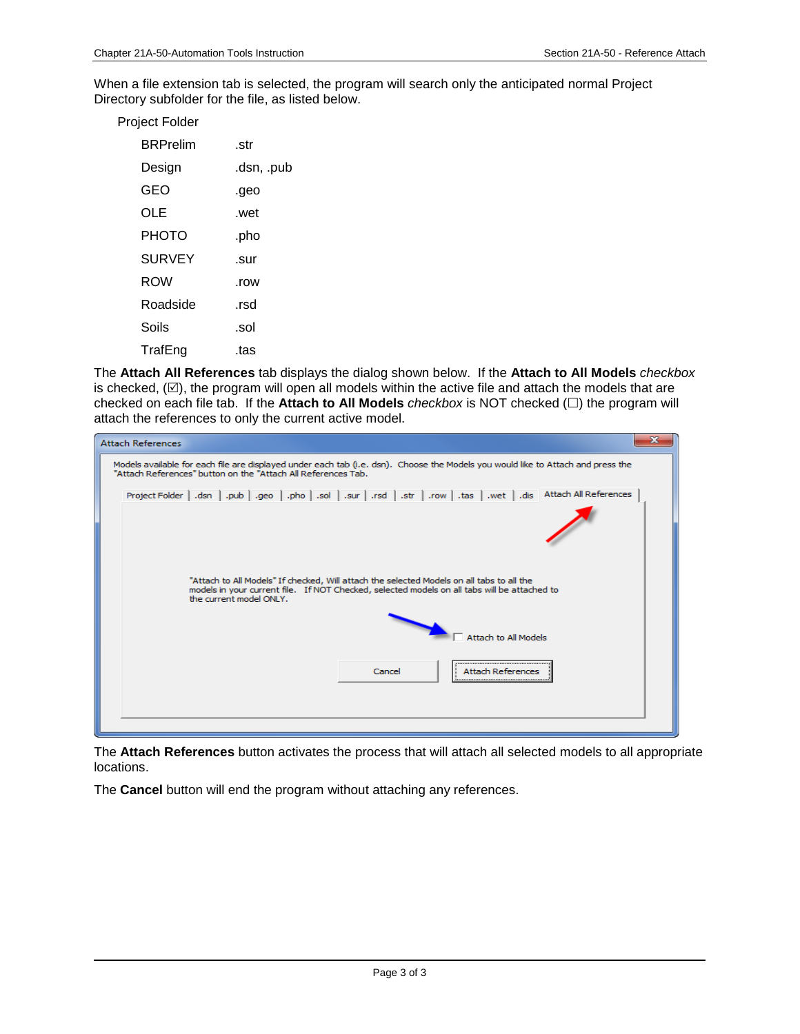When a file extension tab is selected, the program will search only the anticipated normal Project Directory subfolder for the file, as listed below.

| Project Folder |            |
|----------------|------------|
| BRPrelim       | .str       |
| Design         | .dsn, .pub |
| GEO            | .geo       |
| OLE            | .wet       |
| PHOTO          | .pho       |
| <b>SURVEY</b>  | .sur       |
| <b>ROW</b>     | .row       |
| Roadside       | .rsd       |
| Soils          | .sol       |
| TrafEng        | .tas       |

The **Attach All References** tab displays the dialog shown below. If the **Attach to All Models** *checkbox* is checked,  $(\boxtimes)$ , the program will open all models within the active file and attach the models that are checked on each file tab. If the **Attach to All Models** *checkbox* is NOT checked  $(\square)$  the program will attach the references to only the current active model.



The **Attach References** button activates the process that will attach all selected models to all appropriate locations.

The **Cancel** button will end the program without attaching any references.